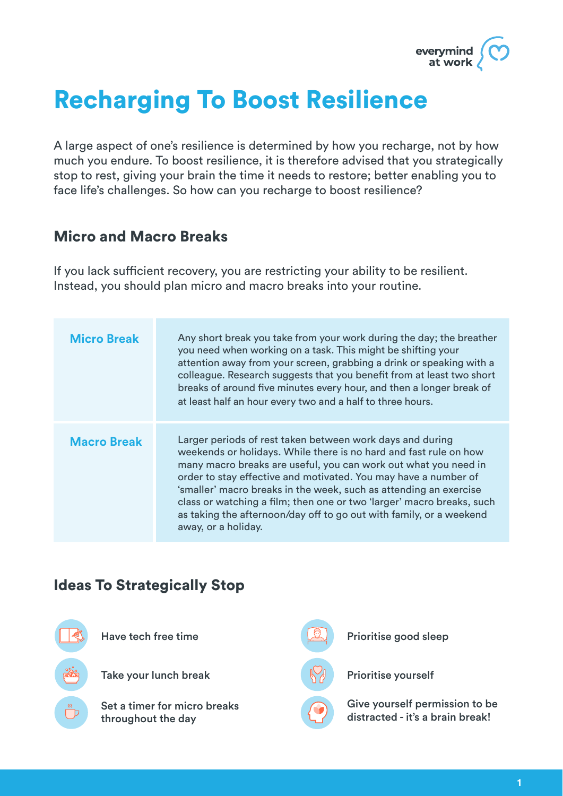

# Recharging To Boost Resilience

A large aspect of one's resilience is determined by how you recharge, not by how much you endure. To boost resilience, it is therefore advised that you strategically stop to rest, giving your brain the time it needs to restore; better enabling you to face life's challenges. So how can you recharge to boost resilience?

#### Micro and Macro Breaks

If you lack sufficient recovery, you are restricting your ability to be resilient. Instead, you should plan micro and macro breaks into your routine.

| <b>Micro Break</b> | Any short break you take from your work during the day; the breather<br>you need when working on a task. This might be shifting your<br>attention away from your screen, grabbing a drink or speaking with a<br>colleague. Research suggests that you benefit from at least two short<br>breaks of around five minutes every hour, and then a longer break of<br>at least half an hour every two and a half to three hours.                                                                                      |
|--------------------|------------------------------------------------------------------------------------------------------------------------------------------------------------------------------------------------------------------------------------------------------------------------------------------------------------------------------------------------------------------------------------------------------------------------------------------------------------------------------------------------------------------|
| <b>Macro Break</b> | Larger periods of rest taken between work days and during<br>weekends or holidays. While there is no hard and fast rule on how<br>many macro breaks are useful, you can work out what you need in<br>order to stay effective and motivated. You may have a number of<br>'smaller' macro breaks in the week, such as attending an exercise<br>class or watching a film; then one or two 'larger' macro breaks, such<br>as taking the afternoon/day off to go out with family, or a weekend<br>away, or a holiday. |

#### Ideas To Strategically Stop

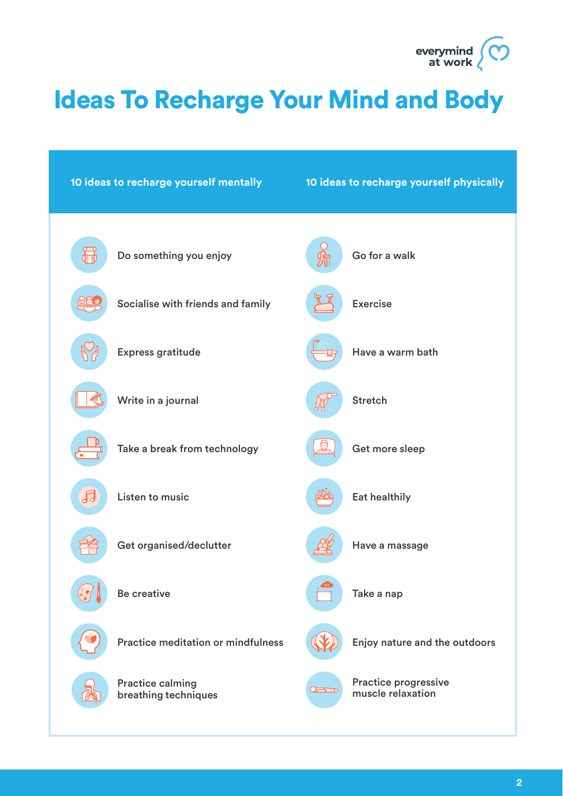

# Ideas To Recharge Your Mind and Body